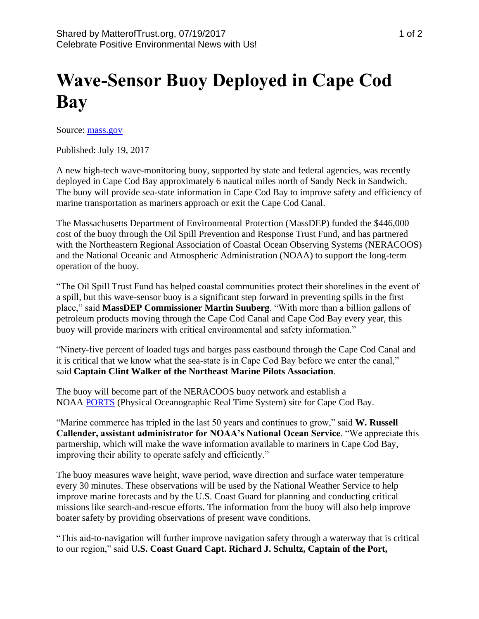## **Wave-Sensor Buoy Deployed in Cape Cod Bay**

Source: [mass.gov](http://www.mass.gov/eea/agencies/massdep/news/releases/wave-sensor-buoy-deployed-in-cape-cod-bay.html)

Published: July 19, 2017

A new high-tech wave-monitoring buoy, supported by state and federal agencies, was recently deployed in Cape Cod Bay approximately 6 nautical miles north of Sandy Neck in Sandwich. The buoy will provide sea-state information in Cape Cod Bay to improve safety and efficiency of marine transportation as mariners approach or exit the Cape Cod Canal.

The Massachusetts Department of Environmental Protection (MassDEP) funded the \$446,000 cost of the buoy through the Oil Spill Prevention and Response Trust Fund, and has partnered with the Northeastern Regional Association of Coastal Ocean Observing Systems (NERACOOS) and the National Oceanic and Atmospheric Administration (NOAA) to support the long-term operation of the buoy.

"The Oil Spill Trust Fund has helped coastal communities protect their shorelines in the event of a spill, but this wave-sensor buoy is a significant step forward in preventing spills in the first place," said **MassDEP Commissioner Martin Suuberg**. "With more than a billion gallons of petroleum products moving through the Cape Cod Canal and Cape Cod Bay every year, this buoy will provide mariners with critical environmental and safety information."

"Ninety-five percent of loaded tugs and barges pass eastbound through the Cape Cod Canal and it is critical that we know what the sea-state is in Cape Cod Bay before we enter the canal," said **Captain Clint Walker of the Northeast Marine Pilots Association**.

The buoy will become part of the NERACOOS buoy network and establish a NOAA [PORTS](http://tidesandcurrents.noaa.gov/ports.html) (Physical Oceanographic Real Time System) site for Cape Cod Bay.

"Marine commerce has tripled in the last 50 years and continues to grow," said **W. Russell Callender, assistant administrator for NOAA's National Ocean Service**. "We appreciate this partnership, which will make the wave information available to mariners in Cape Cod Bay, improving their ability to operate safely and efficiently."

The buoy measures wave height, wave period, wave direction and surface water temperature every 30 minutes. These observations will be used by the National Weather Service to help improve marine forecasts and by the U.S. Coast Guard for planning and conducting critical missions like search-and-rescue efforts. The information from the buoy will also help improve boater safety by providing observations of present wave conditions.

"This aid-to-navigation will further improve navigation safety through a waterway that is critical to our region," said U**.S. Coast Guard Capt. Richard J. Schultz, Captain of the Port,**